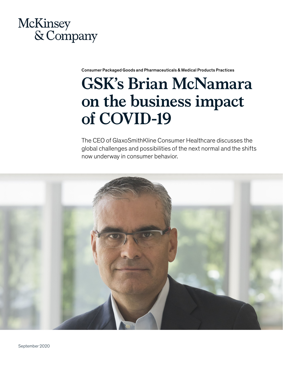## McKinsey & Company

Consumer Packaged Goods and Pharmaceuticals & Medical Products Practices

## **GSK's Brian McNamara on the business impact of COVID-19**

The CEO of GlaxoSmithKline Consumer Healthcare discusses the global challenges and possibilities of the next normal and the shifts now underway in consumer behavior.

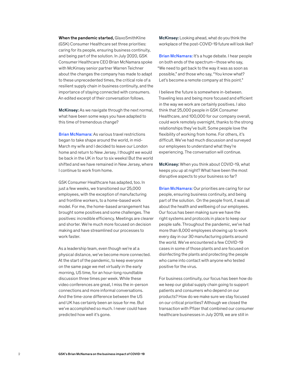When the pandemic started, GlaxoSmithKline (GSK) Consumer Healthcare set three priorities: caring for its people, ensuring business continuity, and being part of the solution. In July 2020, GSK Consumer Healthcare CEO Brian McNamara spoke with McKinsey senior partner Warren Teichner about the changes the company has made to adapt to these unprecedented times, the critical role of a resilient supply chain in business continuity, and the importance of staying connected with consumers. An edited excerpt of their conversation follows.

McKinsey: As we navigate through the next normal, what have been some ways you have adapted to this time of tremendous change?

Brian McNamara: As various travel restrictions began to take shape around the world, in mid-March my wife and I decided to leave our London home and return to New Jersey. I thought we would be back in the UK in four to six weeks! But the world shifted and we have remained in New Jersey, where I continue to work from home.

GSK Consumer Healthcare has adapted, too. In just a few weeks, we transitioned our 25,000 employees, with the exception of manufacturing and frontline workers, to a home-based work model. For me, the home-based arrangement has brought some positives and some challenges. The positives: incredible efficiency. Meetings are clearer and shorter. We're much more focused on decision making and have streamlined our processes to work faster.

As a leadership team, even though we're at a physical distance, we've become more connected. At the start of the pandemic, to keep everyone on the same page we met virtually in the early morning, US time, for an hour-long roundtable discussion three times per week. While these video conferences are great, I miss the in-person connections and more informal conversations. And the time-zone difference between the US and UK has certainly been an issue for me. But we've accomplished so much. I never could have predicted how well it's gone.

McKinsey: Looking ahead, what do you think the workplace of the post-COVID-19 future will look like?

Brian McNamara: It's a huge debate. I hear people on both ends of the spectrum—those who say, "We need to get back to the way it was as soon as possible," and those who say, "You know what? Let's become a remote company at this point."

I believe the future is somewhere in-between. Traveling less and being more focused and efficient in the way we work are certainly positives. I also think that 25,000 people in GSK Consumer Healthcare, and 100,000 for our company overall, could work remotely overnight, thanks to the strong relationships they've built. Some people love the flexibility of working from home. For others, it's difficult. We've had much discussion and surveyed our employees to understand what they're experiencing. The conversation will continue.

McKinsey: When you think about COVID-19, what keeps you up at night? What have been the most disruptive aspects to your business so far?

**Brian McNamara:** Our priorities are caring for our people, ensuring business continuity, and being part of the solution. On the people front, it was all about the health and wellbeing of our employees. Our focus has been making sure we have the right systems and protocols in place to keep our people safe. Throughout the pandemic, we've had more than 8,000 employees showing up to work every day in our 30 manufacturing plants around the world. We've encountered a few COVID-19 cases in some of those plants and are focused on disinfecting the plants and protecting the people who came into contact with anyone who tested positive for the virus.

For business continuity, our focus has been how do we keep our global supply chain going to support patients and consumers who depend on our products? How do we make sure we stay focused on our critical priorities? Although we closed the transaction with Pfizer that combined our consumer healthcare businesses in July 2019, we are still in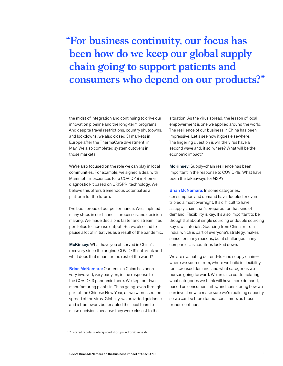## **"For business continuity, our focus has been how do we keep our global supply chain going to support patients and consumers who depend on our products?"**

the midst of integration and continuing to drive our innovation pipeline and the long-term programs. And despite travel restrictions, country shutdowns, and lockdowns, we also closed 31 markets in Europe after the ThermaCare divestment, in May. We also completed system cutovers in those markets.

We're also focused on the role we can play in local communities. For example, we signed a deal with Mammoth Biosciences for a COVID-19 in-home diagnostic kit based on CRISPR<sup>1</sup> technology. We believe this offers tremendous potential as a platform for the future.

I've been proud of our performance. We simplified many steps in our financial processes and decision making. We made decisions faster and streamlined portfolios to increase output. But we also had to pause a lot of initiatives as a result of the pandemic.

McKinsey: What have you observed in China's recovery since the original COVID-19 outbreak and what does that mean for the rest of the world?

Brian McNamara: Our team in China has been very involved, very early on, in the response to the COVID-19 pandemic there. We kept our two manufacturing plants in China going, even through part of the Chinese New Year, as we witnessed the spread of the virus. Globally, we provided guidance and a framework but enabled the local team to make decisions because they were closest to the

situation. As the virus spread, the lesson of local empowerment is one we applied around the world. The resilience of our business in China has been impressive. Let's see how it goes elsewhere. The lingering question is will the virus have a second wave and, if so, where? What will be the economic impact?

McKinsey: Supply-chain resilience has been important in the response to COVID-19. What have been the takeaways for GSK?

Brian McNamara: In some categories, consumption and demand have doubled or even tripled almost overnight. It's difficult to have a supply chain that's prepared for that kind of demand. Flexibility is key. It's also important to be thoughtful about single sourcing or double sourcing key raw materials. Sourcing from China or from India, which is part of everyone's strategy, makes sense for many reasons, but it challenged many companies as countries locked down.

We are evaluating our end-to-end supply chain where we source from, where we build in flexibility for increased demand, and what categories we pursue going forward. We are also contemplating what categories we think will have more demand, based on consumer shifts, and considering how we can invest now to make sure we're building capacity so we can be there for our consumers as these trends continue.

<sup>&</sup>lt;sup>1</sup> Clustered regularly interspaced short palindromic repeats.